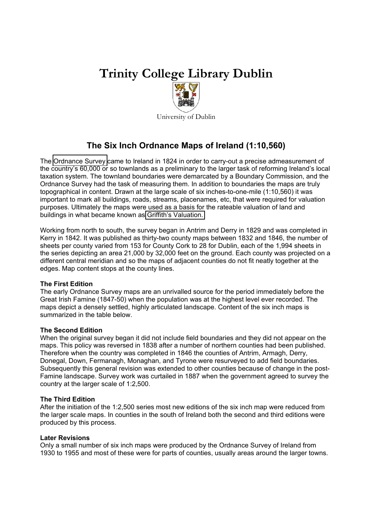# **Trinity College Library Dublin**



University of Dublin

# **The Six Inch Ordnance Maps of Ireland (1:10,560)**

The [Ordnance Survey](http://www.osi.ie/) came to Ireland in 1824 in order to carry-out a precise admeasurement of the country's 60,000 or so townlands as a preliminary to the larger task of reforming Ireland's local taxation system. The townland boundaries were demarcated by a Boundary Commission, and the Ordnance Survey had the task of measuring them. In addition to boundaries the maps are truly topographical in content. Drawn at the large scale of six inches-to-one-mile (1:10,560) it was important to mark all buildings, roads, streams, placenames, etc, that were required for valuation purposes. Ultimately the maps were used as a basis for the rateable valuation of land and buildings in what became known as [Griffith's Valuation.](http://www.valoff.ie/) 

Working from north to south, the survey began in Antrim and Derry in 1829 and was completed in Kerry in 1842. It was published as thirty-two county maps between 1832 and 1846, the number of sheets per county varied from 153 for County Cork to 28 for Dublin, each of the 1,994 sheets in the series depicting an area 21,000 by 32,000 feet on the ground. Each county was projected on a different central meridian and so the maps of adjacent counties do not fit neatly together at the edges. Map content stops at the county lines.

# **The First Edition**

The early Ordnance Survey maps are an unrivalled source for the period immediately before the Great Irish Famine (1847-50) when the population was at the highest level ever recorded. The maps depict a densely settled, highly articulated landscape. Content of the six inch maps is summarized in the table below.

# **The Second Edition**

When the original survey began it did not include field boundaries and they did not appear on the maps. This policy was reversed in 1838 after a number of northern counties had been published. Therefore when the country was completed in 1846 the counties of Antrim, Armagh, Derry, Donegal, Down, Fermanagh, Monaghan, and Tyrone were resurveyed to add field boundaries. Subsequently this general revision was extended to other counties because of change in the post-Famine landscape. Survey work was curtailed in 1887 when the government agreed to survey the country at the larger scale of 1:2,500.

# **The Third Edition**

After the initiation of the 1:2,500 series most new editions of the six inch map were reduced from the larger scale maps. In counties in the south of Ireland both the second and third editions were produced by this process.

# **Later Revisions**

Only a small number of six inch maps were produced by the Ordnance Survey of Ireland from 1930 to 1955 and most of these were for parts of counties, usually areas around the larger towns.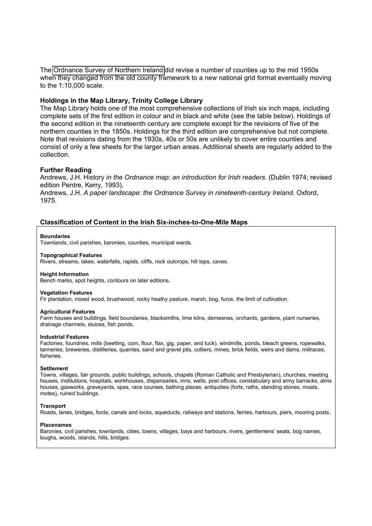The [Ordnance Survey of Northern Ireland](http://www.osni.gov.uk/) did revise a number of counties up to the mid 1950s when they changed from the old county framework to a new national grid format eventually moving to the 1:10,000 scale.

## **Holdings in the Map Library, Trinity College Library**

The Map Library holds one of the most comprehensive collections of Irish six inch maps, including complete sets of the first edition in colour and in black and white (see the table below). Holdings of the second edition in the nineteenth century are complete except for the revisions of five of the northern counties in the 1850s. Holdings for the third edition are comprehensive but not complete. Note that revisions dating from the 1930s, 40s or 50s are unlikely to cover entire counties and consist of only a few sheets for the larger urban areas. Additional sheets are regularly added to the collection.

# **Further Reading**

Andrews, J.H. History *in the Ordnance map: an introduction for Irish readers.* (Dublin 1974; revised edition Pentre, Kerry, 1993).

Andrews, J.H. *A paper landscape: the Ordnance Survey in nineteenth-century Ireland.* Oxford, 1975.

### **Classification of Content in the Irish Six-inches-to-One-Mile Maps**

#### **Boundaries**

Townlands, civil parishes, baronies, counties, municipal wards.

#### **Topographical Features**

Rivers, streams, lakes, waterfalls, rapids, cliffs, rock outcrops, hill tops, caves.

#### **Height Information**

Bench marks, spot heights, contours on later editions.

#### **Vegetation Features**

Fir plantation, mixed wood, brushwood, rocky heathy pasture, marsh, bog, furze, the limit of cultivation.

#### **Agricultural Features**

Farm houses and buildings, field boundaries, blacksmiths, lime kilns, demesnes, orchards, gardens, plant nurseries, drainage channels, sluices, fish ponds.

#### **Industrial Features**

Factories, foundries, mills (beetling, corn, flour, flax, gig, paper, and tuck), windmills, ponds, bleach greens, ropewalks, tanneries, breweries, distilleries, quarries, sand and gravel pits, colliers, mines, brick fields, weirs and dams, millraces, fisheries.

#### **Settlement**

Towns, villages, fair grounds, public buildings, schools, chapels (Roman Catholic and Presbyterian), churches, meeting houses, institutions, hospitals, workhouses, dispensaries, inns, wells, post offices, constabulary and army barracks, alms houses, gasworks, graveyards, spas, race courses, bathing places, antiquities (forts, raths, standing stones, moats, motes), ruined buildings.

#### **Transport**

Roads, lanes, bridges, fords, canals and locks, aqueducts, railways and stations, ferries, harbours, piers, mooring posts.

#### **Placenames**

Baronies, civil parishes, townlands, cities, towns, villages, bays and harbours, rivers, gentlemens' seats, bog names, loughs, woods, islands, hills, bridges.